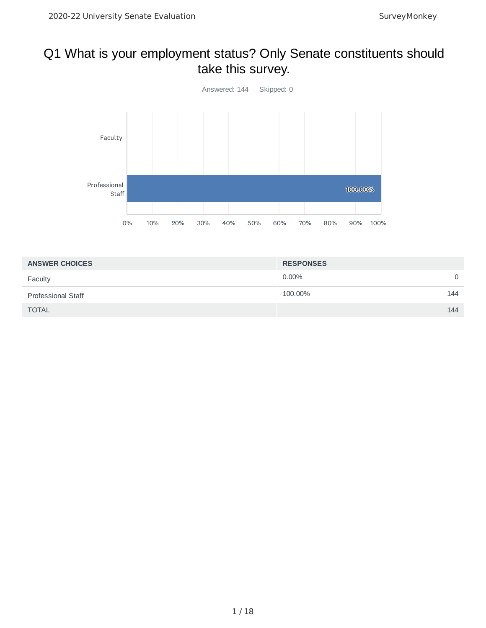# Q1 What is your employment status? Only Senate constituents should take this survey.



| <b>ANSWER CHOICES</b>     | <b>RESPONSES</b> |          |
|---------------------------|------------------|----------|
| Faculty                   | $0.00\%$         | $\Omega$ |
| <b>Professional Staff</b> | 100.00%          | 144      |
| <b>TOTAL</b>              |                  | 144      |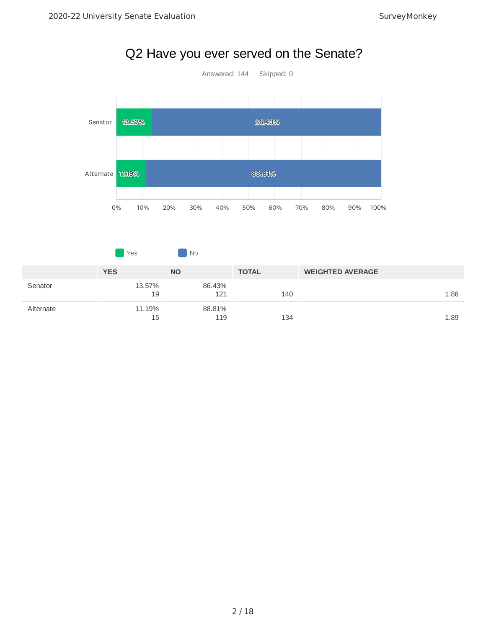

# Q2 Have you ever served on the Senate?

|           | Yes          | I No          |              |                         |      |
|-----------|--------------|---------------|--------------|-------------------------|------|
|           | <b>YES</b>   | <b>NO</b>     | <b>TOTAL</b> | <b>WEIGHTED AVERAGE</b> |      |
| Senator   | 13.57%<br>19 | 86.43%<br>121 | 140          |                         | 1.86 |
| Alternate | 11.19%<br>15 | 88.81%<br>119 | 134          |                         | 1.89 |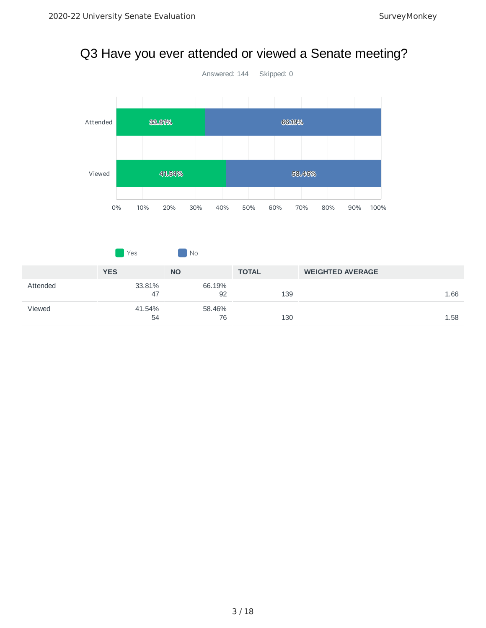# Q3 Have you ever attended or viewed a Senate meeting?



|          | <b>Yes</b>   | No           |              |                         |
|----------|--------------|--------------|--------------|-------------------------|
|          | <b>YES</b>   | <b>NO</b>    | <b>TOTAL</b> | <b>WEIGHTED AVERAGE</b> |
| Attended | 33.81%<br>47 | 66.19%<br>92 | 139          | 1.66                    |
| Viewed   | 41.54%<br>54 | 58.46%<br>76 | 130          | 1.58                    |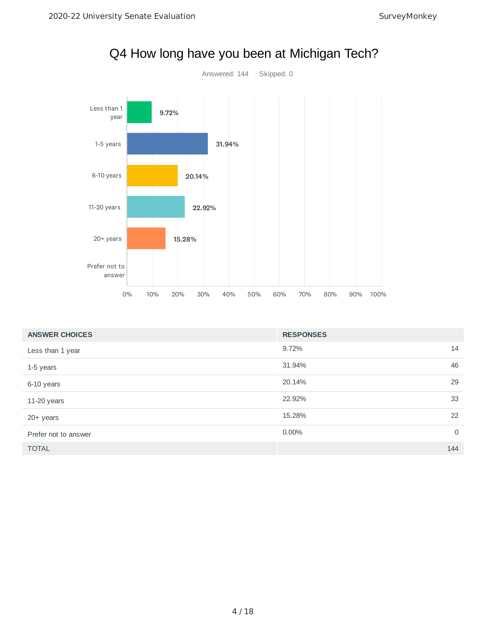

|  | Q4 How long have you been at Michigan Tech? |  |
|--|---------------------------------------------|--|
|  |                                             |  |

| <b>ANSWER CHOICES</b> | <b>RESPONSES</b> |          |
|-----------------------|------------------|----------|
| Less than 1 year      | 9.72%            | 14       |
| 1-5 years             | 31.94%           | 46       |
| 6-10 years            | 20.14%           | 29       |
| 11-20 years           | 22.92%           | 33       |
| 20+ years             | 15.28%           | 22       |
| Prefer not to answer  | 0.00%            | $\Omega$ |
| <b>TOTAL</b>          |                  | 144      |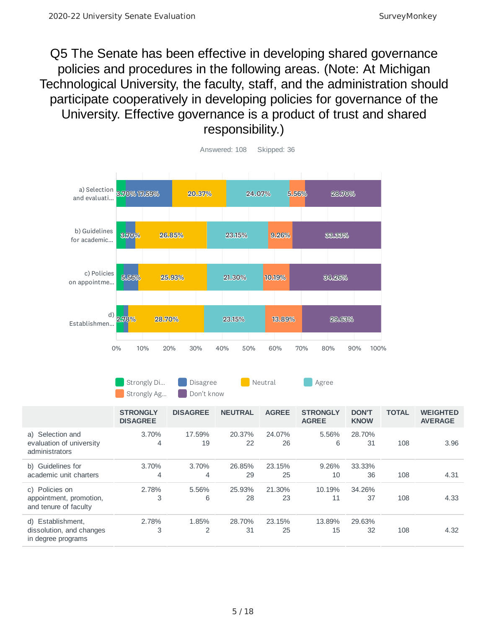Q5 The Senate has been effective in developing shared governance policies and procedures in the following areas. (Note: At Michigan Technological University, the faculty, staff, and the administration should participate cooperatively in developing policies for governance of the University. Effective governance is a product of trust and shared responsibility.)



Strongly Di… Disagree **Neutral Agree** Strongly Ag... Don't know

|                                                                     | <b>STRONGLY</b><br><b>DISAGREE</b> | <b>DISAGREE</b> | <b>NEUTRAL</b> | <b>AGREE</b> | <b>STRONGLY</b><br><b>AGREE</b> | <b>DON'T</b><br><b>KNOW</b> | <b>TOTAL</b> | <b>WEIGHTED</b><br><b>AVERAGE</b> |
|---------------------------------------------------------------------|------------------------------------|-----------------|----------------|--------------|---------------------------------|-----------------------------|--------------|-----------------------------------|
| a) Selection and<br>evaluation of university<br>administrators      | 3.70%<br>4                         | 17.59%<br>19    | 20.37%<br>22   | 24.07%<br>26 | 5.56%<br>6                      | 28.70%<br>31                | 108          | 3.96                              |
| b) Guidelines for<br>academic unit charters                         | 3.70%<br>4                         | 3.70%<br>4      | 26.85%<br>29   | 23.15%<br>25 | 9.26%<br>10                     | 33.33%<br>36                | 108          | 4.31                              |
| c) Policies on<br>appointment, promotion,<br>and tenure of faculty  | 2.78%<br>3                         | 5.56%<br>6      | 25.93%<br>28   | 21.30%<br>23 | 10.19%<br>11                    | 34.26%<br>37                | 108          | 4.33                              |
| d) Establishment,<br>dissolution, and changes<br>in degree programs | 2.78%<br>3                         | 1.85%<br>2      | 28.70%<br>31   | 23.15%<br>25 | 13.89%<br>15                    | 29.63%<br>32                | 108          | 4.32                              |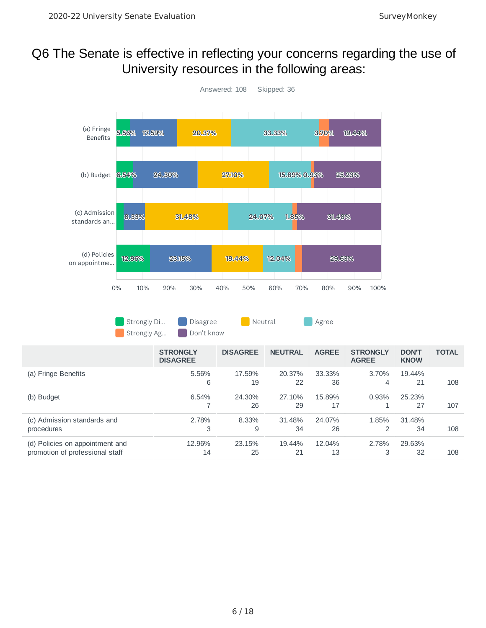# Q6 The Senate is effective in reflecting your concerns regarding the use of University resources in the following areas:

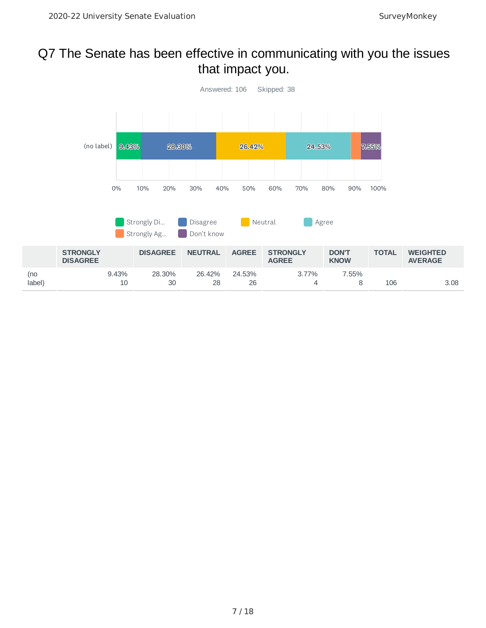# Q7 The Senate has been effective in communicating with you the issues that impact you.

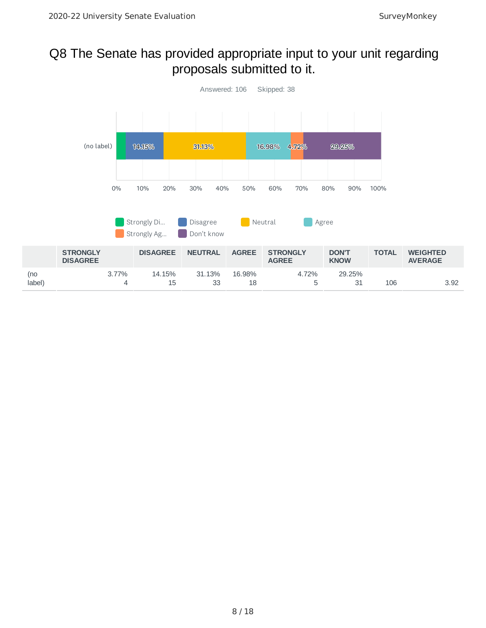# Q8 The Senate has provided appropriate input to your unit regarding proposals submitted to it.

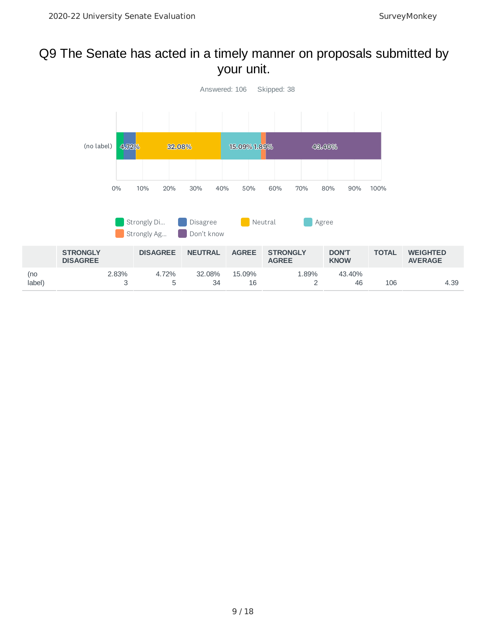# Q9 The Senate has acted in a timely manner on proposals submitted by your unit.

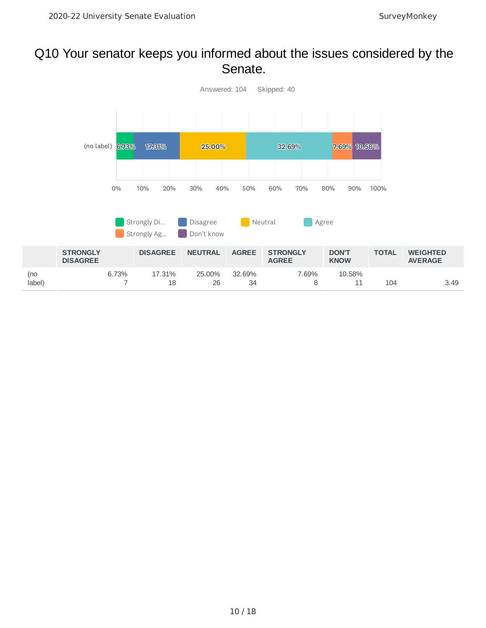#### Q10 Your senator keeps you informed about the issues considered by the Senate.

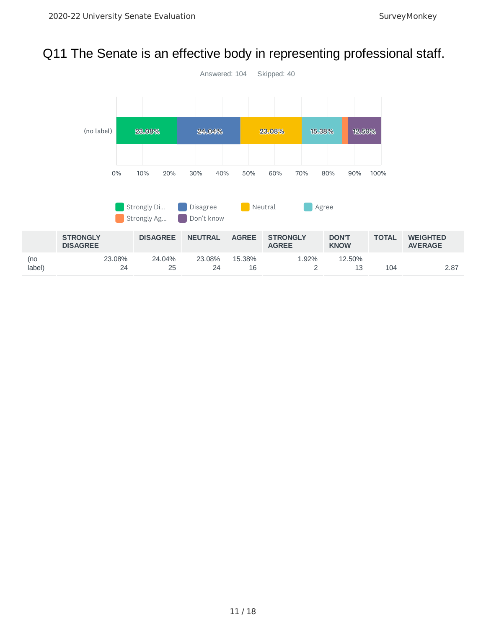# Q11 The Senate is an effective body in representing professional staff.

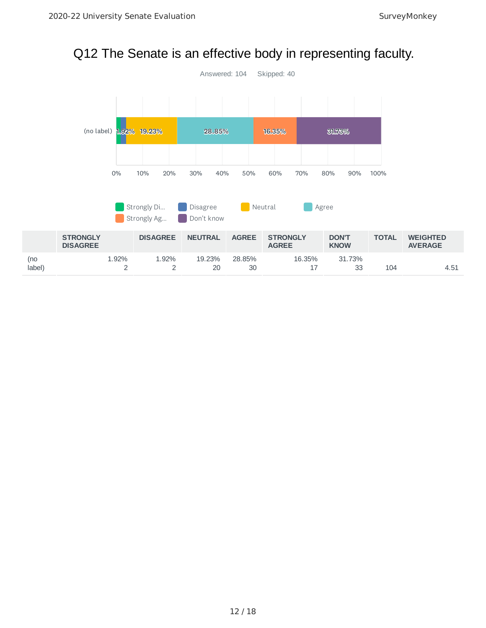# Q12 The Senate is an effective body in representing faculty.

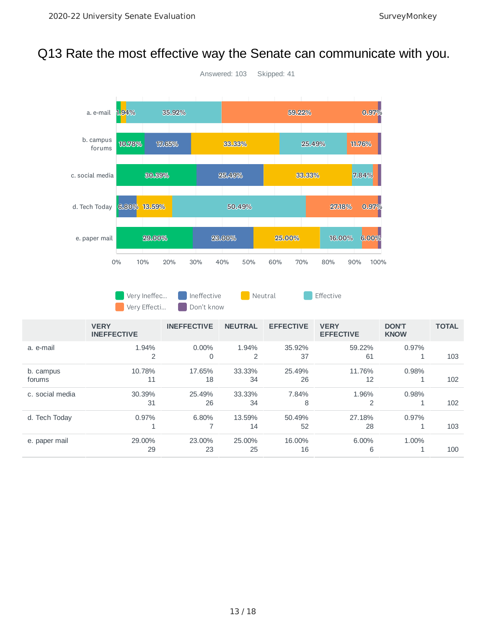# Q13 Rate the most effective way the Senate can communicate with you.



Very Ineffec... Ineffective **Neutral Construction** Effective Very Effecti... Don't know

|                     | <b>VERY</b><br><b>INEFFECTIVE</b> | <b>INEFFECTIVE</b> | <b>NEUTRAL</b> | <b>EFFECTIVE</b> | <b>VERY</b><br><b>EFFECTIVE</b> | <b>DON'T</b><br><b>KNOW</b> | <b>TOTAL</b> |
|---------------------|-----------------------------------|--------------------|----------------|------------------|---------------------------------|-----------------------------|--------------|
| a. e-mail           | 1.94%<br>2                        | $0.00\%$<br>0      | 1.94%<br>2     | 35.92%<br>37     | 59.22%<br>61                    | 0.97%                       | 103          |
| b. campus<br>forums | 10.78%<br>11                      | 17.65%<br>18       | 33.33%<br>34   | 25.49%<br>26     | 11.76%<br>12                    | 0.98%                       | 102          |
| c. social media     | 30.39%<br>31                      | 25.49%<br>26       | 33.33%<br>34   | 7.84%<br>8       | 1.96%<br>2                      | 0.98%                       | 102          |
| d. Tech Today       | 0.97%<br>ᅩ                        | 6.80%              | 13.59%<br>14   | 50.49%<br>52     | 27.18%<br>28                    | 0.97%                       | 103          |
| e. paper mail       | 29.00%<br>29                      | 23,00%<br>23       | 25,00%<br>25   | 16.00%<br>16     | 6.00%<br>6                      | 1.00%                       | 100          |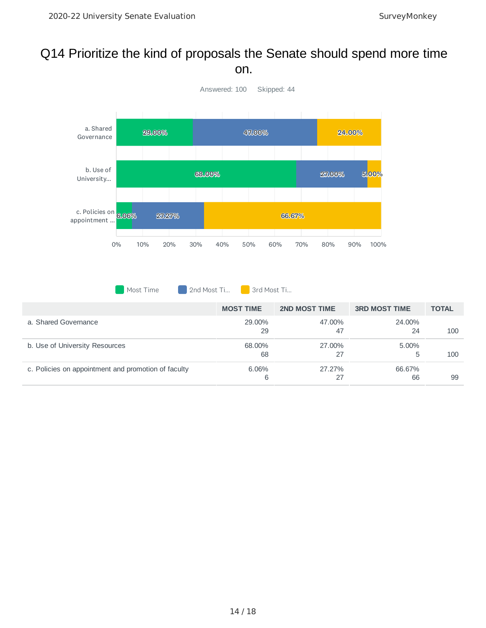#### Q14 Prioritize the kind of proposals the Senate should spend more time on.



Most Time 2nd Most Ti... 3rd Most Ti...

|                                                     | <b>MOST TIME</b> | <b>2ND MOST TIME</b> | <b>3RD MOST TIME</b> | <b>TOTAL</b> |
|-----------------------------------------------------|------------------|----------------------|----------------------|--------------|
| a. Shared Governance                                | 29.00%<br>29     | 47.00%<br>47         | 24.00%<br>24         | 100          |
| b. Use of University Resources                      | 68.00%<br>68     | 27.00%<br>27         | $5.00\%$             | 100          |
| c. Policies on appointment and promotion of faculty | 6.06%<br>6       | 27.27%<br>27         | 66.67%<br>66         | 99           |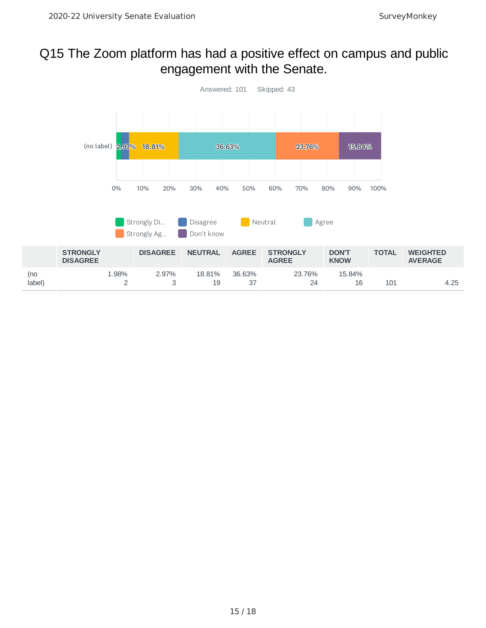# Q15 The Zoom platform has had a positive effect on campus and public engagement with the Senate.

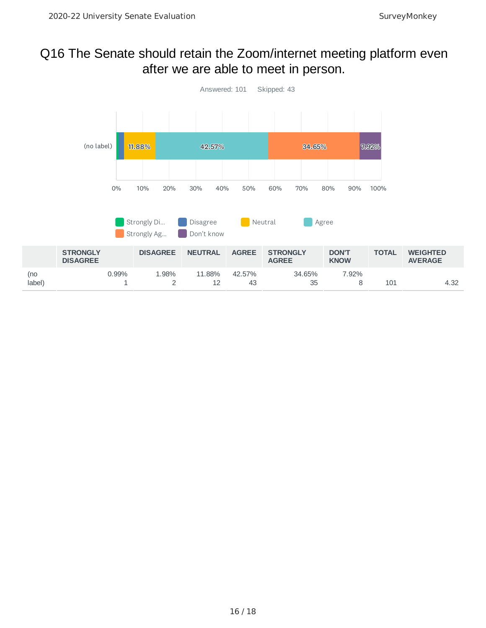#### Q16 The Senate should retain the Zoom/internet meeting platform even after we are able to meet in person.

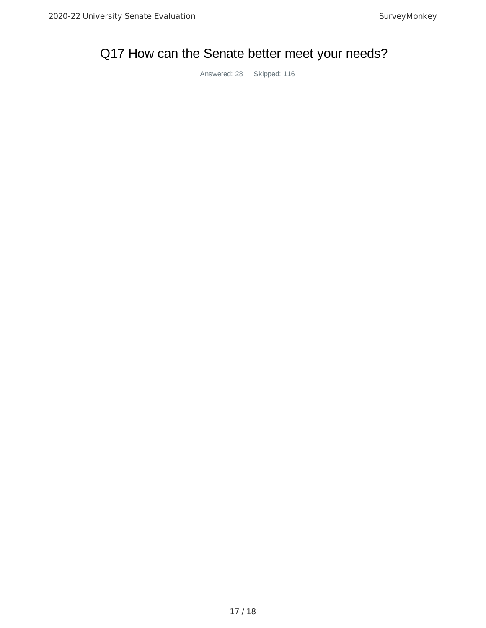# Q17 How can the Senate better meet your needs?

Answered: 28 Skipped: 116